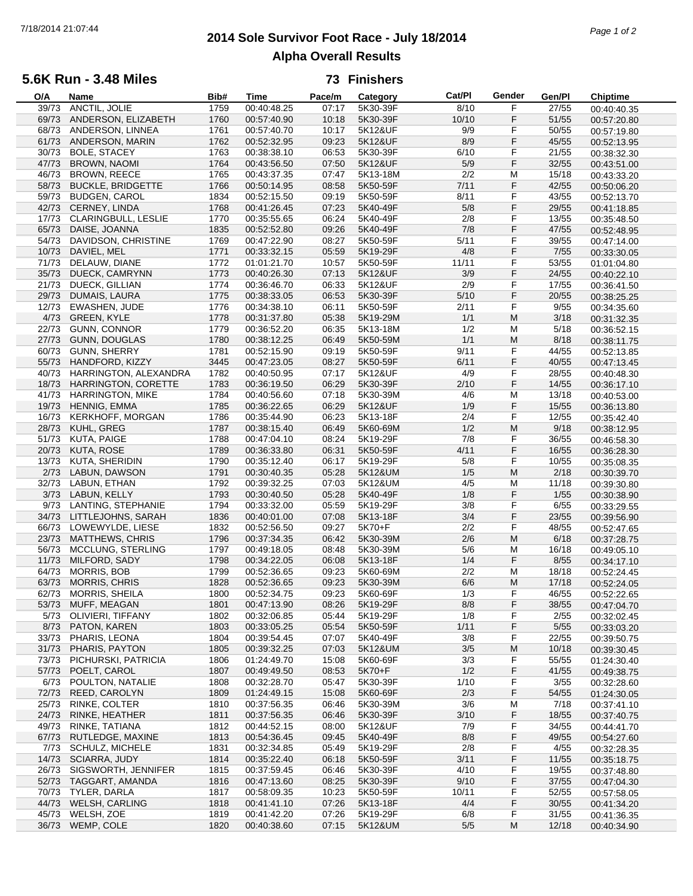# **2014 Sole Survivor Foot Race - July 18/2014** 7/18/2014 21:07:44 *Page 1 of 2* **Alpha Overall Results**

### **5.6K Run - 3.48 Miles**

### **73 Finishers**

| O/A   | Name                       | Bib# | <b>Time</b> | Pace/m | Category | Cat/PI | Gender                                                                                                     | Gen/Pl | <b>Chiptime</b> |
|-------|----------------------------|------|-------------|--------|----------|--------|------------------------------------------------------------------------------------------------------------|--------|-----------------|
| 39/73 | ANCTIL, JOLIE              | 1759 | 00:40:48.25 | 07:17  | 5K30-39F | 8/10   | F                                                                                                          | 27/55  | 00:40:40.35     |
| 69/73 | ANDERSON, ELIZABETH        | 1760 | 00:57:40.90 | 10:18  | 5K30-39F | 10/10  | F                                                                                                          | 51/55  | 00:57:20.80     |
| 68/73 | ANDERSON, LINNEA           | 1761 | 00:57:40.70 | 10:17  | 5K12&UF  | 9/9    | F                                                                                                          | 50/55  | 00:57:19.80     |
| 61/73 | ANDERSON, MARIN            | 1762 | 00:52:32.95 | 09:23  | 5K12&UF  | 8/9    | F                                                                                                          | 45/55  | 00:52:13.95     |
| 30/73 | <b>BOLE, STACEY</b>        | 1763 | 00:38:38.10 | 06:53  | 5K30-39F | 6/10   | F                                                                                                          | 21/55  |                 |
|       |                            |      |             |        |          |        |                                                                                                            |        | 00:38:32.30     |
| 47/73 | <b>BROWN, NAOMI</b>        | 1764 | 00:43:56.50 | 07:50  | 5K12&UF  | 5/9    | F                                                                                                          | 32/55  | 00:43:51.00     |
| 46/73 | <b>BROWN, REECE</b>        | 1765 | 00:43:37.35 | 07:47  | 5K13-18M | 2/2    | M                                                                                                          | 15/18  | 00:43:33.20     |
| 58/73 | <b>BUCKLE, BRIDGETTE</b>   | 1766 | 00:50:14.95 | 08:58  | 5K50-59F | 7/11   | F                                                                                                          | 42/55  | 00:50:06.20     |
| 59/73 | <b>BUDGEN, CAROL</b>       | 1834 | 00:52:15.50 | 09:19  | 5K50-59F | 8/11   | F                                                                                                          | 43/55  | 00:52:13.70     |
|       | 42/73 CERNEY, LINDA        | 1768 | 00:41:26.45 | 07:23  | 5K40-49F | $5/8$  | F                                                                                                          | 29/55  | 00:41:18.85     |
| 17/73 | CLARINGBULL, LESLIE        | 1770 | 00:35:55.65 | 06:24  | 5K40-49F | 2/8    | F                                                                                                          | 13/55  | 00:35:48.50     |
| 65/73 | DAISE, JOANNA              | 1835 | 00:52:52.80 | 09:26  | 5K40-49F | 7/8    | F                                                                                                          | 47/55  | 00:52:48.95     |
| 54/73 | DAVIDSON, CHRISTINE        | 1769 | 00:47:22.90 | 08:27  | 5K50-59F | 5/11   | F                                                                                                          | 39/55  | 00:47:14.00     |
| 10/73 | DAVIEL, MEL                | 1771 | 00:33:32.15 | 05:59  | 5K19-29F | 4/8    | F                                                                                                          | 7/55   | 00:33:30.05     |
| 71/73 | DELAUW, DIANE              | 1772 | 01:01:21.70 | 10:57  | 5K50-59F | 11/11  | F                                                                                                          | 53/55  |                 |
|       |                            |      |             |        |          |        |                                                                                                            |        | 01:01:04.80     |
| 35/73 | DUECK, CAMRYNN             | 1773 | 00:40:26.30 | 07:13  | 5K12&UF  | 3/9    | F                                                                                                          | 24/55  | 00:40:22.10     |
| 21/73 | DUECK, GILLIAN             | 1774 | 00:36:46.70 | 06:33  | 5K12&UF  | 2/9    | F                                                                                                          | 17/55  | 00:36:41.50     |
| 29/73 | DUMAIS, LAURA              | 1775 | 00:38:33.05 | 06:53  | 5K30-39F | $5/10$ | F                                                                                                          | 20/55  | 00:38:25.25     |
| 12/73 | <b>EWASHEN, JUDE</b>       | 1776 | 00:34:38.10 | 06:11  | 5K50-59F | 2/11   | F                                                                                                          | 9/55   | 00:34:35.60     |
| 4/73  | <b>GREEN, KYLE</b>         | 1778 | 00:31:37.80 | 05:38  | 5K19-29M | 1/1    | M                                                                                                          | 3/18   | 00:31:32.35     |
| 22/73 | <b>GUNN, CONNOR</b>        | 1779 | 00:36:52.20 | 06:35  | 5K13-18M | 1/2    | M                                                                                                          | 5/18   | 00:36:52.15     |
|       | 27/73 GUNN, DOUGLAS        | 1780 | 00:38:12.25 | 06:49  | 5K50-59M | 1/1    | M                                                                                                          | 8/18   | 00:38:11.75     |
| 60/73 | <b>GUNN, SHERRY</b>        | 1781 | 00:52:15.90 | 09:19  | 5K50-59F | 9/11   | F                                                                                                          | 44/55  | 00:52:13.85     |
|       |                            |      |             |        |          | 6/11   | F                                                                                                          |        |                 |
| 55/73 | HANDFORD, KIZZY            | 3445 | 00:47:23.05 | 08:27  | 5K50-59F |        |                                                                                                            | 40/55  | 00:47:13.45     |
| 40/73 | HARRINGTON, ALEXANDRA      | 1782 | 00:40:50.95 | 07:17  | 5K12&UF  | 4/9    | F                                                                                                          | 28/55  | 00:40:48.30     |
| 18/73 | <b>HARRINGTON, CORETTE</b> | 1783 | 00:36:19.50 | 06:29  | 5K30-39F | 2/10   | F                                                                                                          | 14/55  | 00:36:17.10     |
| 41/73 | <b>HARRINGTON, MIKE</b>    | 1784 | 00:40:56.60 | 07:18  | 5K30-39M | 4/6    | M                                                                                                          | 13/18  | 00:40:53.00     |
| 19/73 | <b>HENNIG, EMMA</b>        | 1785 | 00:36:22.65 | 06:29  | 5K12&UF  | 1/9    | F                                                                                                          | 15/55  | 00:36:13.80     |
| 16/73 | <b>KERKHOFF, MORGAN</b>    | 1786 | 00:35:44.90 | 06:23  | 5K13-18F | 2/4    | F                                                                                                          | 12/55  | 00:35:42.40     |
| 28/73 | KUHL, GREG                 | 1787 | 00:38:15.40 | 06:49  | 5K60-69M | 1/2    | M                                                                                                          | 9/18   | 00:38:12.95     |
| 51/73 | KUTA, PAIGE                | 1788 | 00:47:04.10 | 08:24  | 5K19-29F | 7/8    | F                                                                                                          | 36/55  | 00:46:58.30     |
| 20/73 | KUTA, ROSE                 | 1789 | 00:36:33.80 | 06:31  | 5K50-59F | 4/11   | F                                                                                                          | 16/55  | 00:36:28.30     |
| 13/73 | KUTA, SHERIDIN             | 1790 | 00:35:12.40 | 06:17  | 5K19-29F | 5/8    | F                                                                                                          | 10/55  | 00:35:08.35     |
| 2/73  | LABUN, DAWSON              | 1791 | 00:30:40.35 | 05:28  | 5K12&UM  | 1/5    | M                                                                                                          | 2/18   |                 |
| 32/73 | LABUN, ETHAN               | 1792 | 00:39:32.25 | 07:03  | 5K12&UM  | 4/5    | M                                                                                                          | 11/18  | 00:30:39.70     |
|       |                            |      |             |        |          |        |                                                                                                            |        | 00:39:30.80     |
| 3/73  | LABUN, KELLY               | 1793 | 00:30:40.50 | 05:28  | 5K40-49F | 1/8    | F                                                                                                          | 1/55   | 00:30:38.90     |
| 9/73  | LANTING, STEPHANIE         | 1794 | 00:33:32.00 | 05:59  | 5K19-29F | 3/8    | F                                                                                                          | 6/55   | 00:33:29.55     |
| 34/73 | LITTLEJOHNS, SARAH         | 1836 | 00:40:01.00 | 07:08  | 5K13-18F | 3/4    | F                                                                                                          | 23/55  | 00:39:56.90     |
| 66/73 | LOWEWYLDE, LIESE           | 1832 | 00:52:56.50 | 09:27  | 5K70+F   | 2/2    | F                                                                                                          | 48/55  | 00:52:47.65     |
| 23/73 | <b>MATTHEWS, CHRIS</b>     | 1796 | 00:37:34.35 | 06:42  | 5K30-39M | 2/6    | M                                                                                                          | 6/18   | 00:37:28.75     |
| 56/73 | MCCLUNG, STERLING          | 1797 | 00:49:18.05 | 08:48  | 5K30-39M | 5/6    | M                                                                                                          | 16/18  | 00:49:05.10     |
| 11/73 | MILFORD, SADY              | 1798 | 00:34:22.05 | 06:08  | 5K13-18F | 1/4    | F                                                                                                          | 8/55   | 00:34:17.10     |
| 64/73 | MORRIS, BOB                | 1799 | 00:52:36.65 | 09:23  | 5K60-69M | 2/2    | M                                                                                                          | 18/18  | 00:52:24.45     |
| 63/73 | <b>MORRIS, CHRIS</b>       | 1828 | 00:52:36.65 | 09:23  | 5K30-39M | 6/6    | M                                                                                                          | 17/18  | 00:52:24.05     |
| 62/73 | MORRIS, SHEILA             | 1800 | 00:52:34.75 | 09:23  | 5K60-69F | 1/3    | F                                                                                                          | 46/55  | 00:52:22.65     |
|       | 53/73 MUFF, MEAGAN         |      | 00:47:13.90 |        |          |        |                                                                                                            |        |                 |
|       |                            | 1801 |             | 08:26  | 5K19-29F | 8/8    | F                                                                                                          | 38/55  | 00:47:04.70     |
| 5/73  | OLIVIERI, TIFFANY          | 1802 | 00:32:06.85 | 05:44  | 5K19-29F | 1/8    | F                                                                                                          | 2/55   | 00:32:02.45     |
| 8/73  | PATON, KAREN               | 1803 | 00:33:05.25 | 05:54  | 5K50-59F | 1/11   | F                                                                                                          | 5/55   | 00:33:03.20     |
| 33/73 | PHARIS, LEONA              | 1804 | 00:39:54.45 | 07:07  | 5K40-49F | 3/8    | F                                                                                                          | 22/55  | 00:39:50.75     |
| 31/73 | PHARIS, PAYTON             | 1805 | 00:39:32.25 | 07:03  | 5K12&UM  | 3/5    | M                                                                                                          | 10/18  | 00:39:30.45     |
| 73/73 | PICHURSKI, PATRICIA        | 1806 | 01:24:49.70 | 15:08  | 5K60-69F | 3/3    | F                                                                                                          | 55/55  | 01:24:30.40     |
| 57/73 | POELT, CAROL               | 1807 | 00:49:49.50 | 08:53  | 5K70+F   | 1/2    | F                                                                                                          | 41/55  | 00:49:38.75     |
| 6/73  | POULTON, NATALIE           | 1808 | 00:32:28.70 | 05:47  | 5K30-39F | 1/10   | F                                                                                                          | 3/55   | 00:32:28.60     |
| 72/73 | REED, CAROLYN              | 1809 | 01:24:49.15 | 15:08  | 5K60-69F | 2/3    | F                                                                                                          | 54/55  | 01:24:30.05     |
| 25/73 | RINKE, COLTER              | 1810 | 00:37:56.35 | 06:46  | 5K30-39M | 3/6    | M                                                                                                          | 7/18   | 00:37:41.10     |
| 24/73 | RINKE, HEATHER             | 1811 | 00:37:56.35 | 06:46  | 5K30-39F | 3/10   | F                                                                                                          |        |                 |
|       |                            |      | 00:44:52.15 |        |          |        |                                                                                                            | 18/55  | 00:37:40.75     |
| 49/73 | RINKE, TATIANA             | 1812 |             | 08:00  | 5K12&UF  | 7/9    | F                                                                                                          | 34/55  | 00:44:41.70     |
| 67/73 | RUTLEDGE, MAXINE           | 1813 | 00:54:36.45 | 09:45  | 5K40-49F | 8/8    | F                                                                                                          | 49/55  | 00:54:27.60     |
| 7/73  | SCHULZ, MICHELE            | 1831 | 00:32:34.85 | 05:49  | 5K19-29F | 2/8    | F                                                                                                          | 4/55   | 00:32:28.35     |
| 14/73 | SCIARRA, JUDY              | 1814 | 00:35:22.40 | 06:18  | 5K50-59F | 3/11   | F                                                                                                          | 11/55  | 00:35:18.75     |
| 26/73 | SIGSWORTH, JENNIFER        | 1815 | 00:37:59.45 | 06:46  | 5K30-39F | 4/10   | F                                                                                                          | 19/55  | 00:37:48.80     |
| 52/73 | TAGGART, AMANDA            | 1816 | 00:47:13.60 | 08:25  | 5K30-39F | 9/10   | F                                                                                                          | 37/55  | 00:47:04.30     |
| 70/73 | TYLER, DARLA               | 1817 | 00:58:09.35 | 10:23  | 5K50-59F | 10/11  | F                                                                                                          | 52/55  | 00:57:58.05     |
| 44/73 | <b>WELSH, CARLING</b>      | 1818 | 00:41:41.10 | 07:26  | 5K13-18F | 4/4    | F                                                                                                          | 30/55  | 00:41:34.20     |
| 45/73 | WELSH, ZOE                 | 1819 | 00:41:42.20 | 07:26  | 5K19-29F | 6/8    | F                                                                                                          | 31/55  | 00:41:36.35     |
|       | 36/73 WEMP, COLE           | 1820 | 00:40:38.60 | 07:15  | 5K12&UM  | $5/5$  | $\mathsf{M}% _{T}=\mathsf{M}_{T}\!\left( a,b\right) ,\ \mathsf{M}_{T}=\mathsf{M}_{T}\!\left( a,b\right) ,$ | 12/18  | 00:40:34.90     |
|       |                            |      |             |        |          |        |                                                                                                            |        |                 |